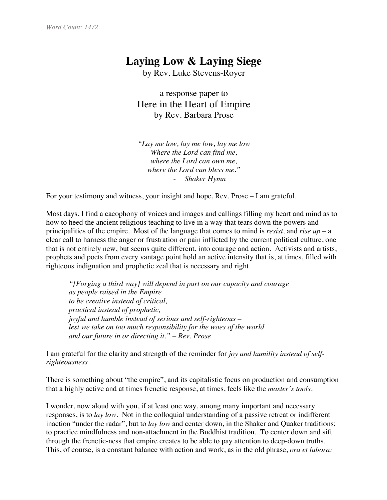## **Laying Low & Laying Siege**

by Rev. Luke Stevens-Royer

a response paper to Here in the Heart of Empire by Rev. Barbara Prose

*"Lay me low, lay me low, lay me low Where the Lord can find me, where the Lord can own me, where the Lord can bless me."* - *Shaker Hymn*

For your testimony and witness, your insight and hope, Rev. Prose – I am grateful.

Most days, I find a cacophony of voices and images and callings filling my heart and mind as to how to heed the ancient religious teaching to live in a way that tears down the powers and principalities of the empire. Most of the language that comes to mind is *resist,* and *rise up* – a clear call to harness the anger or frustration or pain inflicted by the current political culture, one that is not entirely new, but seems quite different, into courage and action. Activists and artists, prophets and poets from every vantage point hold an active intensity that is, at times, filled with righteous indignation and prophetic zeal that is necessary and right.

*"[Forging a third way] will depend in part on our capacity and courage as people raised in the Empire to be creative instead of critical, practical instead of prophetic, joyful and humble instead of serious and self-righteous – lest we take on too much responsibility for the woes of the world and our future in or directing it." – Rev. Prose*

I am grateful for the clarity and strength of the reminder for *joy and humility instead of selfrighteousness.*

There is something about "the empire", and its capitalistic focus on production and consumption that a highly active and at times frenetic response, at times, feels like the *master's tools*.

I wonder, now aloud with you, if at least one way, among many important and necessary responses, is to *lay low.* Not in the colloquial understanding of a passive retreat or indifferent inaction "under the radar", but to *lay low* and center down, in the Shaker and Quaker traditions; to practice mindfulness and non-attachment in the Buddhist tradition. To center down and sift through the frenetic-ness that empire creates to be able to pay attention to deep-down truths. This, of course, is a constant balance with action and work, as in the old phrase, *ora et labora:*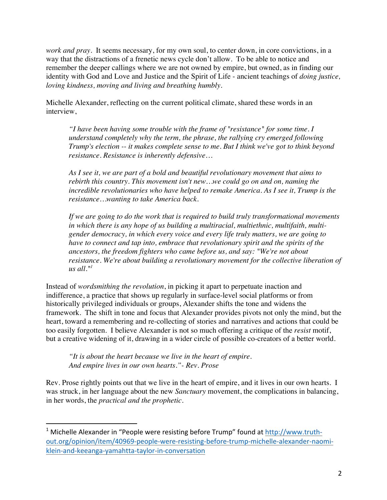*work and pray.* It seems necessary, for my own soul, to center down, in core convictions, in a way that the distractions of a frenetic news cycle don't allow. To be able to notice and remember the deeper callings where we are not owned by empire, but owned, as in finding our identity with God and Love and Justice and the Spirit of Life - ancient teachings of *doing justice, loving kindness, moving and living and breathing humbly.*

Michelle Alexander, reflecting on the current political climate, shared these words in an interview,

*"I have been having some trouble with the frame of "resistance" for some time. I understand completely why the term, the phrase, the rallying cry emerged following Trump's election -- it makes complete sense to me. But I think we've got to think beyond resistance. Resistance is inherently defensive…*

*As I see it, we are part of a bold and beautiful revolutionary movement that aims to rebirth this country. This movement isn't new…we could go on and on, naming the incredible revolutionaries who have helped to remake America. As I see it, Trump is the resistance…wanting to take America back.*

*If we are going to do the work that is required to build truly transformational movements in which there is any hope of us building a multiracial, multiethnic, multifaith, multigender democracy, in which every voice and every life truly matters, we are going to have to connect and tap into, embrace that revolutionary spirit and the spirits of the ancestors, the freedom fighters who came before us, and say: "We're not about resistance. We're about building a revolutionary movement for the collective liberation of*   $us$  *all.*"<sup>1</sup>

Instead of *wordsmithing the revolution*, in picking it apart to perpetuate inaction and indifference, a practice that shows up regularly in surface-level social platforms or from historically privileged individuals or groups, Alexander shifts the tone and widens the framework. The shift in tone and focus that Alexander provides pivots not only the mind, but the heart, toward a remembering and re-collecting of stories and narratives and actions that could be too easily forgotten. I believe Alexander is not so much offering a critique of the *resist* motif, but a creative widening of it, drawing in a wider circle of possible co-creators of a better world.

*"It is about the heart because we live in the heart of empire. And empire lives in our own hearts."- Rev. Prose*

 

Rev. Prose rightly points out that we live in the heart of empire, and it lives in our own hearts. I was struck, in her language about the new *Sanctuary* movement, the complications in balancing, in her words, the *practical and the prophetic.*

 $1$  Michelle Alexander in "People were resisting before Trump" found at  $\frac{http://www.truth-}{$ out.org/opinion/item/40969-people-were-resisting-before-trump-michelle-alexander-naomiklein-and-keeanga-yamahtta-taylor-in-conversation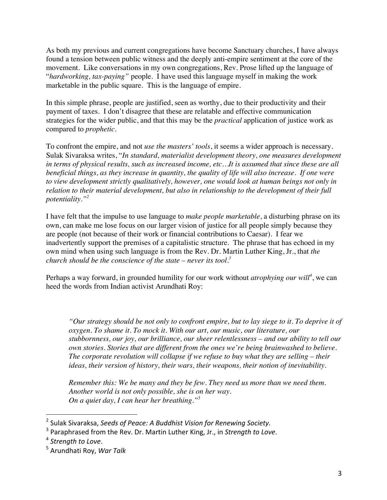As both my previous and current congregations have become Sanctuary churches, I have always found a tension between public witness and the deeply anti-empire sentiment at the core of the movement. Like conversations in my own congregations, Rev. Prose lifted up the language of "*hardworking, tax-paying"* people. I have used this language myself in making the work marketable in the public square. This is the language of empire.

In this simple phrase, people are justified, seen as worthy, due to their productivity and their payment of taxes. I don't disagree that these are relatable and effective communication strategies for the wider public, and that this may be the *practical* application of justice work as compared to *prophetic.*

To confront the empire, and not *use the masters' tools*, it seems a wider approach is necessary. Sulak Sivaraksa writes, "*In standard, materialist development theory, one measures development in terms of physical results, such as increased income, etc…It is assumed that since these are all beneficial things, as they increase in quantity, the quality of life will also increase. If one were to view development strictly qualitatively, however, one would look at human beings not only in relation to their material development, but also in relationship to the development of their full potentiality."2*

I have felt that the impulse to use language to *make people marketable*, a disturbing phrase on its own, can make me lose focus on our larger vision of justice for all people simply because they are people (not because of their work or financial contributions to Caesar). I fear we inadvertently support the premises of a capitalistic structure. The phrase that has echoed in my own mind when using such language is from the Rev. Dr. Martin Luther King, Jr., that *the church should be the conscience of the state – never its tool.3*

Perhaps a way forward, in grounded humility for our work without *atrophying our will<sup>4</sup>* , we can heed the words from Indian activist Arundhati Roy:

*"Our strategy should be not only to confront empire, but to lay siege to it. To deprive it of oxygen. To shame it. To mock it. With our art, our music, our literature, our stubbornness, our joy, our brilliance, our sheer relentlessness – and our ability to tell our own stories. Stories that are different from the ones we're being brainwashed to believe. The corporate revolution will collapse if we refuse to buy what they are selling – their ideas, their version of history, their wars, their weapons, their notion of inevitability.*

*Remember this: We be many and they be few. They need us more than we need them. Another world is not only possible, she is on her way. On a quiet day, I can hear her breathing."<sup>5</sup>*

 

<sup>&</sup>lt;sup>2</sup> Sulak Sivaraksa, Seeds of Peace: A Buddhist Vision for Renewing Society.

<sup>&</sup>lt;sup>3</sup> Paraphrased from the Rev. Dr. Martin Luther King, Jr., in *Strength to Love*.

<sup>&</sup>lt;sup>4</sup> Strength to Love.

<sup>&</sup>lt;sup>5</sup> Arundhati Roy, *War Talk*